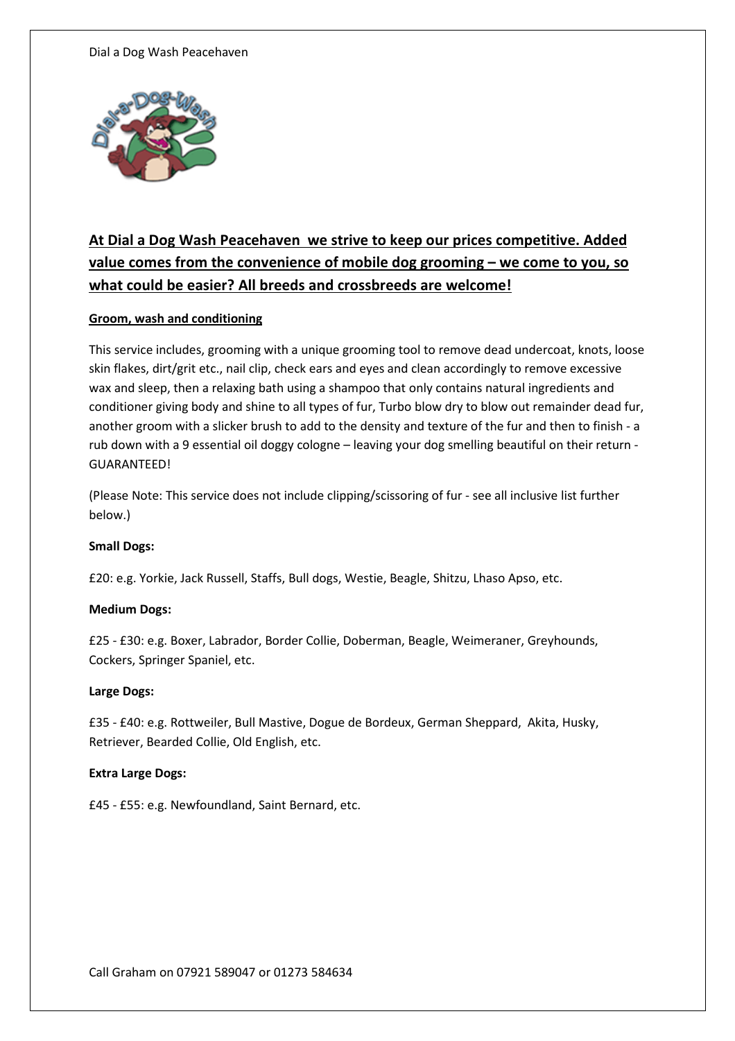#### Dial a Dog Wash Peacehaven



# At Dial a Dog Wash Peacehaven we strive to keep our prices competitive. Added value comes from the convenience of mobile dog grooming – we come to you, so what could be easier? All breeds and crossbreeds are welcome!

# Groom, wash and conditioning

This service includes, grooming with a unique grooming tool to remove dead undercoat, knots, loose skin flakes, dirt/grit etc., nail clip, check ears and eyes and clean accordingly to remove excessive wax and sleep, then a relaxing bath using a shampoo that only contains natural ingredients and conditioner giving body and shine to all types of fur, Turbo blow dry to blow out remainder dead fur, another groom with a slicker brush to add to the density and texture of the fur and then to finish - a rub down with a 9 essential oil doggy cologne – leaving your dog smelling beautiful on their return - GUARANTEED!

(Please Note: This service does not include clipping/scissoring of fur - see all inclusive list further below.)

# Small Dogs:

£20: e.g. Yorkie, Jack Russell, Staffs, Bull dogs, Westie, Beagle, Shitzu, Lhaso Apso, etc.

# Medium Dogs:

£25 - £30: e.g. Boxer, Labrador, Border Collie, Doberman, Beagle, Weimeraner, Greyhounds, Cockers, Springer Spaniel, etc.

# Large Dogs:

£35 - £40: e.g. Rottweiler, Bull Mastive, Dogue de Bordeux, German Sheppard, Akita, Husky, Retriever, Bearded Collie, Old English, etc.

# Extra Large Dogs:

£45 - £55: e.g. Newfoundland, Saint Bernard, etc.